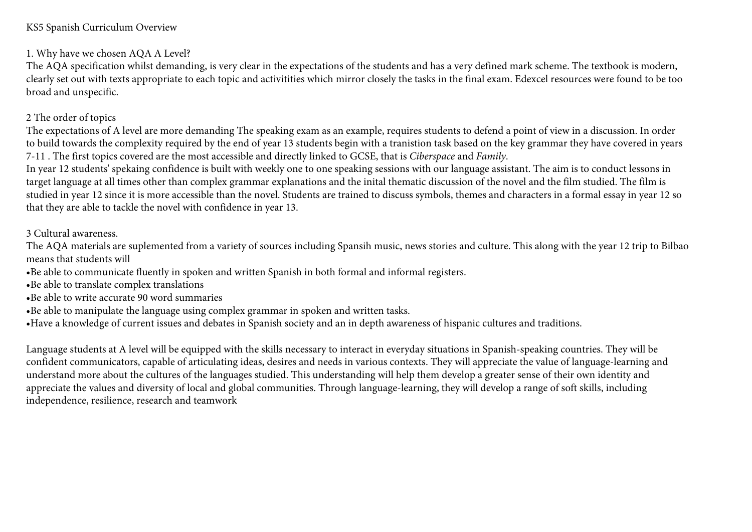### KS5 Spanish Curriculum Overview

## 1. Why have we chosen AQA A Level?

The AQA specification whilst demanding, is very clear in the expectations of the students and has a very defined mark scheme. The textbook is modern, clearly set out with texts appropriate to each topic and activitities which mirror closely the tasks in the final exam. Edexcel resources were found to be too broad and unspecific.

## 2 The order of topics

The expectations of A level are more demanding The speaking exam as an example, requires students to defend a point of view in a discussion. In order to build towards the complexity required by the end of year 13 students begin with a tranistion task based on the key grammar they have covered in years 7-11 . The first topics covered are the most accessible and directly linked to GCSE, that is *Ciberspace* and *Family*.

In year 12 students' spekaing confidence is built with weekly one to one speaking sessions with our language assistant. The aim is to conduct lessons in target language at all times other than complex grammar explanations and the inital thematic discussion of the novel and the film studied. The film is studied in year 12 since it is more accessible than the novel. Students are trained to discuss symbols, themes and characters in a formal essay in year 12 so that they are able to tackle the novel with confidence in year 13.

## 3 Cultural awareness.

The AQA materials are suplemented from a variety of sources including Spansih music, news stories and culture. This along with the year 12 trip to Bilbao means that students will

- •Be able to communicate fluently in spoken and written Spanish in both formal and informal registers.
- •Be able to translate complex translations
- •Be able to write accurate 90 word summaries
- •Be able to manipulate the language using complex grammar in spoken and written tasks.
- •Have a knowledge of current issues and debates in Spanish society and an in depth awareness of hispanic cultures and traditions.

Language students at A level will be equipped with the skills necessary to interact in everyday situations in Spanish-speaking countries. They will be confident communicators, capable of articulating ideas, desires and needs in various contexts. They will appreciate the value of language-learning and understand more about the cultures of the languages studied. This understanding will help them develop a greater sense of their own identity and appreciate the values and diversity of local and global communities. Through language-learning, they will develop a range of soft skills, including independence, resilience, research and teamwork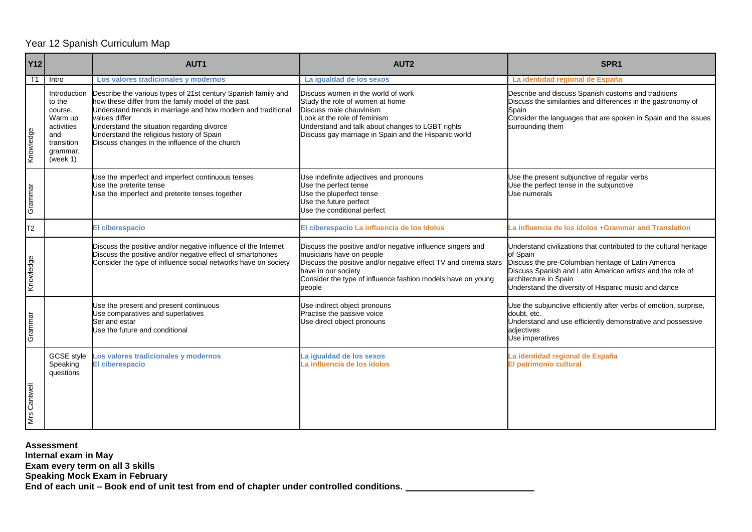#### Year 12 Spanish Curriculum Map

| <b>Y12</b>     |                                                                                                         | AUT1                                                                                                                                                                                                                                                                                                                                              | AUT <sub>2</sub>                                                                                                                                                                                                                                          | SPR <sub>1</sub>                                                                                                                                                                                                                                                                     |
|----------------|---------------------------------------------------------------------------------------------------------|---------------------------------------------------------------------------------------------------------------------------------------------------------------------------------------------------------------------------------------------------------------------------------------------------------------------------------------------------|-----------------------------------------------------------------------------------------------------------------------------------------------------------------------------------------------------------------------------------------------------------|--------------------------------------------------------------------------------------------------------------------------------------------------------------------------------------------------------------------------------------------------------------------------------------|
| T <sub>1</sub> | Intro                                                                                                   | Los valores tradicionales y modernos                                                                                                                                                                                                                                                                                                              | La igualdad de los sexos                                                                                                                                                                                                                                  | La identidad regional de España                                                                                                                                                                                                                                                      |
| Knowledge      | Introduction<br>to the<br>course.<br>Warm up<br>activities<br>and<br>transition<br>grammar.<br>(week 1) | Describe the various types of 21st century Spanish family and<br>how these differ from the family model of the past<br>Understand trends in marriage and how modern and traditional<br>values differ<br>Understand the situation regarding divorce<br>Understand the religious history of Spain<br>Discuss changes in the influence of the church | Discuss women in the world of work<br>Study the role of women at home<br>Discuss male chauvinism<br>Look at the role of feminism<br>Understand and talk about changes to LGBT rights<br>Discuss gay marriage in Spain and the Hispanic world              | Describe and discuss Spanish customs and traditions<br>Discuss the similarities and differences in the gastronomy of<br>Spain<br>Consider the languages that are spoken in Spain and the issues<br>surrounding them                                                                  |
| Grammar        |                                                                                                         | Use the imperfect and imperfect continuous tenses<br>Use the preterite tense<br>Use the imperfect and preterite tenses together                                                                                                                                                                                                                   | Use indefinite adjectives and pronouns<br>Use the perfect tense<br>Use the pluperfect tense<br>Use the future perfect<br>Use the conditional perfect                                                                                                      | Jse the present subjunctive of regular verbs<br>Jse the perfect tense in the subjunctive<br>Jse numerals                                                                                                                                                                             |
| T <sub>2</sub> |                                                                                                         | <b>El ciberespacio</b>                                                                                                                                                                                                                                                                                                                            | El ciberespacio La influencia de los ídolos                                                                                                                                                                                                               | a influencia de los ídolos +Grammar and Translation                                                                                                                                                                                                                                  |
| Knowledge      |                                                                                                         | Discuss the positive and/or negative influence of the Internet<br>Discuss the positive and/or negative effect of smartphones<br>Consider the type of influence social networks have on society                                                                                                                                                    | Discuss the positive and/or negative influence singers and<br>musicians have on people<br>Discuss the positive and/or negative effect TV and cinema stars<br>have in our society<br>Consider the type of influence fashion models have on young<br>people | Understand civilizations that contributed to the cultural heritage<br>of Spain<br>Discuss the pre-Columbian heritage of Latin America<br>Discuss Spanish and Latin American artists and the role of<br>architecture in Spain<br>Understand the diversity of Hispanic music and dance |
| Grammar        |                                                                                                         | Use the present and present continuous<br>Use comparatives and superlatives<br>Ser and estar<br>Use the future and conditional                                                                                                                                                                                                                    | Use indirect object pronouns<br>Practise the passive voice<br>Use direct object pronouns                                                                                                                                                                  | Use the subjunctive efficiently after verbs of emotion, surprise,<br>doubt, etc.<br>Understand and use efficiently demonstrative and possessive<br>adiectives<br>Use imperatives                                                                                                     |
| Mrs Cantwell   | <b>GCSE</b> style<br>Speaking<br>questions                                                              | os valores tradicionales y modernos<br><b>El ciberespacio</b>                                                                                                                                                                                                                                                                                     | La igualdad de los sexos<br>La influencia de los ídolos                                                                                                                                                                                                   | a identidad regional de España<br>El patrimonio cultural                                                                                                                                                                                                                             |

**Assessment** 

**Internal exam in May** 

**Exam every term on all 3 skills**

**Speaking Mock Exam in February**

**End of each unit – Book end of unit test from end of chapter under controlled conditions.**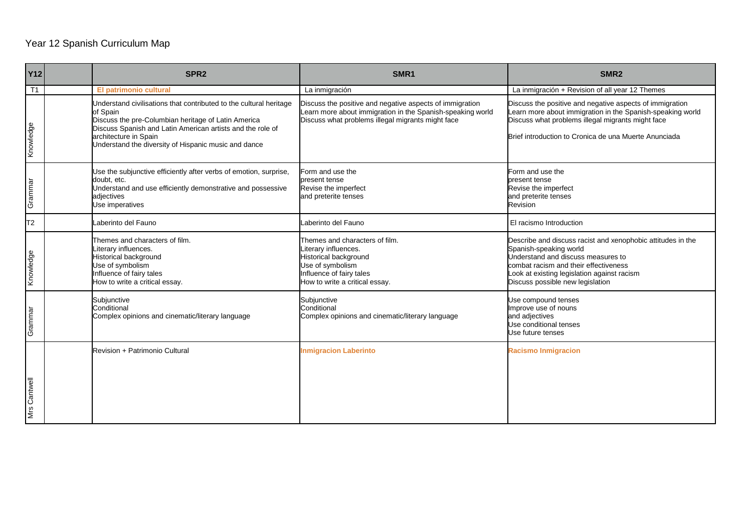# Year 12 Spanish Curriculum Map

| <b>Y12</b>     | SPR <sub>2</sub>                                                                                                                                                                                                                                                                     | SMR <sub>1</sub>                                                                                                                                                            | SMR <sub>2</sub>                                                                                                                                                                                                                                        |
|----------------|--------------------------------------------------------------------------------------------------------------------------------------------------------------------------------------------------------------------------------------------------------------------------------------|-----------------------------------------------------------------------------------------------------------------------------------------------------------------------------|---------------------------------------------------------------------------------------------------------------------------------------------------------------------------------------------------------------------------------------------------------|
| T <sub>1</sub> | El patrimonio cultural                                                                                                                                                                                                                                                               | La inmigración                                                                                                                                                              | La inmigración + Revision of all year 12 Themes                                                                                                                                                                                                         |
| Knowledge      | Understand civilisations that contributed to the cultural heritage<br>of Spain<br>Discuss the pre-Columbian heritage of Latin America<br>Discuss Spanish and Latin American artists and the role of<br>architecture in Spain<br>Understand the diversity of Hispanic music and dance | Discuss the positive and negative aspects of immigration<br>Learn more about immigration in the Spanish-speaking world<br>Discuss what problems illegal migrants might face | Discuss the positive and negative aspects of immigration<br>earn more about immigration in the Spanish-speaking world<br>Discuss what problems illegal migrants might face<br>Brief introduction to Cronica de una Muerte Anunciada                     |
| Grammar        | Use the subjunctive efficiently after verbs of emotion, surprise,<br>doubt, etc.<br>Understand and use efficiently demonstrative and possessive<br>adjectives<br>Use imperatives                                                                                                     | Form and use the<br>present tense<br>Revise the imperfect<br>and preterite tenses                                                                                           | Form and use the<br>present tense<br>Revise the imperfect<br>and preterite tenses<br>Revision                                                                                                                                                           |
| T2             | Laberinto del Fauno                                                                                                                                                                                                                                                                  | Laberinto del Fauno                                                                                                                                                         | El racismo Introduction                                                                                                                                                                                                                                 |
| Knowledge      | Themes and characters of film.<br>iterary influences.<br>Historical background<br>Use of symbolism<br>Influence of fairy tales<br>How to write a critical essay.                                                                                                                     | Themes and characters of film.<br>Literary influences.<br>Historical background<br>Use of symbolism<br>Influence of fairy tales<br>How to write a critical essay.           | Describe and discuss racist and xenophobic attitudes in the<br>Spanish-speaking world<br>Understand and discuss measures to<br>combat racism and their effectiveness<br>Look at existing legislation against racism<br>Discuss possible new legislation |
| Grammar        | Subjunctive<br>Conditional<br>Complex opinions and cinematic/literary language                                                                                                                                                                                                       | Subjunctive<br>Conditional<br>Complex opinions and cinematic/literary language                                                                                              | Use compound tenses<br>Improve use of nouns<br>and adjectives<br>Use conditional tenses<br>Use future tenses                                                                                                                                            |
| Mrs Cantwell   | Revision + Patrimonio Cultural                                                                                                                                                                                                                                                       | <b>Inmigracion Laberinto</b>                                                                                                                                                | <b>Racismo Inmigracion</b>                                                                                                                                                                                                                              |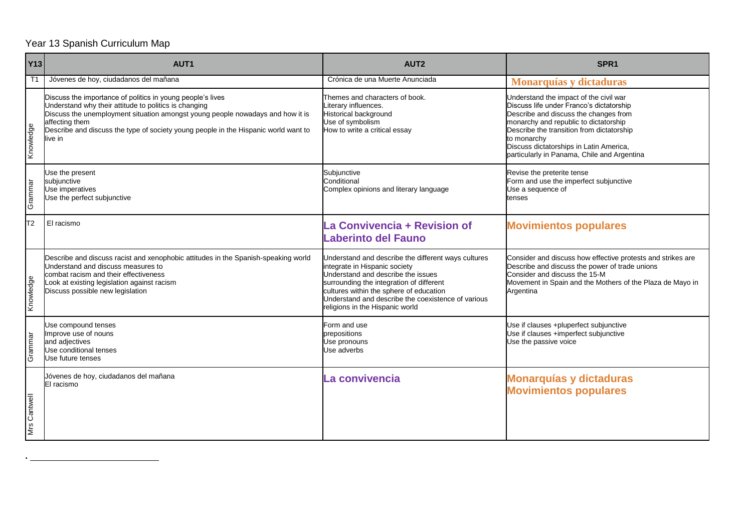## Year 13 Spanish Curriculum Map

**.** 

| <b>Y13</b>   | AUT <sub>1</sub>                                                                                                                                                                                                                                                                                                          | AUT <sub>2</sub>                                                                                                                                                                                                                                                                                           | SPR <sub>1</sub>                                                                                                                                                                                                                                                                                                           |
|--------------|---------------------------------------------------------------------------------------------------------------------------------------------------------------------------------------------------------------------------------------------------------------------------------------------------------------------------|------------------------------------------------------------------------------------------------------------------------------------------------------------------------------------------------------------------------------------------------------------------------------------------------------------|----------------------------------------------------------------------------------------------------------------------------------------------------------------------------------------------------------------------------------------------------------------------------------------------------------------------------|
| T1           | Jóvenes de hoy, ciudadanos del mañana                                                                                                                                                                                                                                                                                     | Crónica de una Muerte Anunciada                                                                                                                                                                                                                                                                            | Monarquías y dictaduras                                                                                                                                                                                                                                                                                                    |
| Knowledge    | Discuss the importance of politics in young people's lives<br>Understand why their attitude to politics is changing<br>Discuss the unemployment situation amongst young people nowadays and how it is<br>affecting them<br>Describe and discuss the type of society young people in the Hispanic world want to<br>live in | Themes and characters of book.<br>iterary influences.<br>Historical background<br>Use of symbolism<br>How to write a critical essay                                                                                                                                                                        | Understand the impact of the civil war<br>Discuss life under Franco's dictatorship<br>Describe and discuss the changes from<br>monarchy and republic to dictatorship<br>Describe the transition from dictatorship<br>to monarchy<br>Discuss dictatorships in Latin America,<br>particularly in Panama, Chile and Argentina |
| Grammar      | Use the present<br>subjunctive<br>Use imperatives<br>Use the perfect subjunctive                                                                                                                                                                                                                                          | Subjunctive<br>Conditional<br>Complex opinions and literary language                                                                                                                                                                                                                                       | Revise the preterite tense<br>Form and use the imperfect subjunctive<br>Use a sequence of<br>tenses                                                                                                                                                                                                                        |
| T2           | El racismo                                                                                                                                                                                                                                                                                                                | La Convivencia + Revision of<br><b>Laberinto del Fauno</b>                                                                                                                                                                                                                                                 | <b>Movimientos populares</b>                                                                                                                                                                                                                                                                                               |
| Knowledge    | Describe and discuss racist and xenophobic attitudes in the Spanish-speaking world<br>Understand and discuss measures to<br>combat racism and their effectiveness<br>Look at existing legislation against racism<br>Discuss possible new legislation                                                                      | Understand and describe the different ways cultures<br>integrate in Hispanic society<br>Understand and describe the issues<br>surrounding the integration of different<br>cultures within the sphere of education<br>Understand and describe the coexistence of various<br>religions in the Hispanic world | Consider and discuss how effective protests and strikes are<br>Describe and discuss the power of trade unions<br>Consider and discuss the 15-M<br>Movement in Spain and the Mothers of the Plaza de Mayo in<br>Argentina                                                                                                   |
| Grammar      | Use compound tenses<br>Improve use of nouns<br>and adjectives<br>Use conditional tenses<br>Use future tenses                                                                                                                                                                                                              | Form and use<br>prepositions<br>Use pronouns<br>Use adverbs                                                                                                                                                                                                                                                | Use if clauses +pluperfect subjunctive<br>Use if clauses +imperfect subjunctive<br>Use the passive voice                                                                                                                                                                                                                   |
| Mrs Cantwell | Jóvenes de hoy, ciudadanos del mañana<br>El racismo                                                                                                                                                                                                                                                                       | La convivencia                                                                                                                                                                                                                                                                                             | <b>Monarquías y dictaduras</b><br><b>Movimientos populares</b>                                                                                                                                                                                                                                                             |